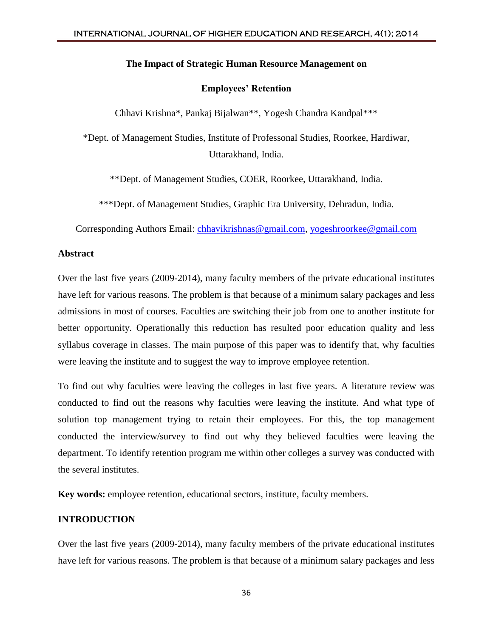## **The Impact of Strategic Human Resource Management on**

## **Employees' Retention**

Chhavi Krishna\*, Pankaj Bijalwan\*\*, Yogesh Chandra Kandpal\*\*\*

\*Dept. of Management Studies, Institute of Professonal Studies, Roorkee, Hardiwar, Uttarakhand, India.

\*\*Dept. of Management Studies, COER, Roorkee, Uttarakhand, India.

\*\*\*Dept. of Management Studies, Graphic Era University, Dehradun, India.

Corresponding Authors Email: [chhavikrishnas@gmail.com,](mailto:chhavikrishnas@gmail.com) [yogeshroorkee@gmail.com](mailto:yogeshroorkee@gmail.com)

## **Abstract**

Over the last five years (2009-2014), many faculty members of the private educational institutes have left for various reasons. The problem is that because of a minimum salary packages and less admissions in most of courses. Faculties are switching their job from one to another institute for better opportunity. Operationally this reduction has resulted poor education quality and less syllabus coverage in classes. The main purpose of this paper was to identify that, why faculties were leaving the institute and to suggest the way to improve employee retention.

To find out why faculties were leaving the colleges in last five years. A literature review was conducted to find out the reasons why faculties were leaving the institute. And what type of solution top management trying to retain their employees. For this, the top management conducted the interview/survey to find out why they believed faculties were leaving the department. To identify retention program me within other colleges a survey was conducted with the several institutes.

**Key words:** employee retention, educational sectors, institute, faculty members.

## **INTRODUCTION**

Over the last five years (2009-2014), many faculty members of the private educational institutes have left for various reasons. The problem is that because of a minimum salary packages and less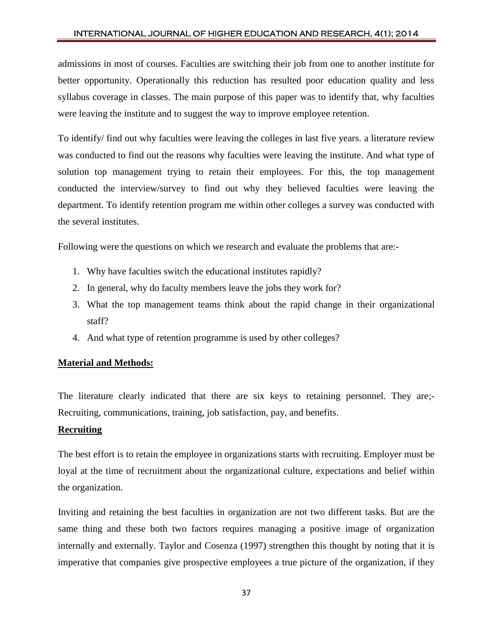admissions in most of courses. Faculties are switching their job from one to another institute for better opportunity. Operationally this reduction has resulted poor education quality and less syllabus coverage in classes. The main purpose of this paper was to identify that, why faculties were leaving the institute and to suggest the way to improve employee retention.

To identify/ find out why faculties were leaving the colleges in last five years. a literature review was conducted to find out the reasons why faculties were leaving the institute. And what type of solution top management trying to retain their employees. For this, the top management conducted the interview/survey to find out why they believed faculties were leaving the department. To identify retention program me within other colleges a survey was conducted with the several institutes.

Following were the questions on which we research and evaluate the problems that are:-

- 1. Why have faculties switch the educational institutes rapidly?
- 2. In general, why do faculty members leave the jobs they work for?
- 3. What the top management teams think about the rapid change in their organizational staff?
- 4. And what type of retention programme is used by other colleges?

# **Material and Methods:**

The literature clearly indicated that there are six keys to retaining personnel. They are;- Recruiting, communications, training, job satisfaction, pay, and benefits.

# **Recruiting**

The best effort is to retain the employee in organizations starts with recruiting. Employer must be loyal at the time of recruitment about the organizational culture, expectations and belief within the organization.

Inviting and retaining the best faculties in organization are not two different tasks. But are the same thing and these both two factors requires managing a positive image of organization internally and externally. Taylor and Cosenza (1997) strengthen this thought by noting that it is imperative that companies give prospective employees a true picture of the organization, if they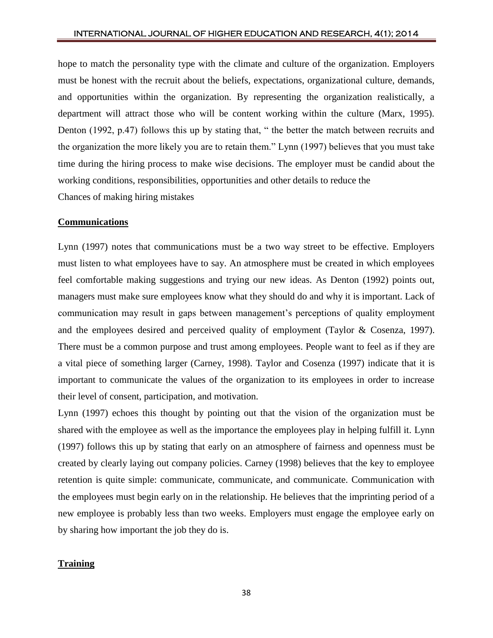hope to match the personality type with the climate and culture of the organization. Employers must be honest with the recruit about the beliefs, expectations, organizational culture, demands, and opportunities within the organization. By representing the organization realistically, a department will attract those who will be content working within the culture (Marx, 1995). Denton (1992, p.47) follows this up by stating that, " the better the match between recruits and the organization the more likely you are to retain them." Lynn (1997) believes that you must take time during the hiring process to make wise decisions. The employer must be candid about the working conditions, responsibilities, opportunities and other details to reduce the Chances of making hiring mistakes

## **Communications**

Lynn (1997) notes that communications must be a two way street to be effective. Employers must listen to what employees have to say. An atmosphere must be created in which employees feel comfortable making suggestions and trying our new ideas. As Denton (1992) points out, managers must make sure employees know what they should do and why it is important. Lack of communication may result in gaps between management's perceptions of quality employment and the employees desired and perceived quality of employment (Taylor & Cosenza, 1997). There must be a common purpose and trust among employees. People want to feel as if they are a vital piece of something larger (Carney, 1998). Taylor and Cosenza (1997) indicate that it is important to communicate the values of the organization to its employees in order to increase their level of consent, participation, and motivation.

Lynn (1997) echoes this thought by pointing out that the vision of the organization must be shared with the employee as well as the importance the employees play in helping fulfill it. Lynn (1997) follows this up by stating that early on an atmosphere of fairness and openness must be created by clearly laying out company policies. Carney (1998) believes that the key to employee retention is quite simple: communicate, communicate, and communicate. Communication with the employees must begin early on in the relationship. He believes that the imprinting period of a new employee is probably less than two weeks. Employers must engage the employee early on by sharing how important the job they do is.

## **Training**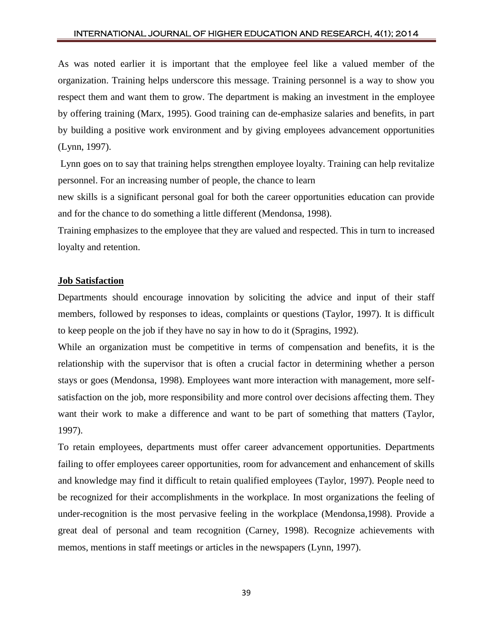As was noted earlier it is important that the employee feel like a valued member of the organization. Training helps underscore this message. Training personnel is a way to show you respect them and want them to grow. The department is making an investment in the employee by offering training (Marx, 1995). Good training can de-emphasize salaries and benefits, in part by building a positive work environment and by giving employees advancement opportunities (Lynn, 1997).

Lynn goes on to say that training helps strengthen employee loyalty. Training can help revitalize personnel. For an increasing number of people, the chance to learn

new skills is a significant personal goal for both the career opportunities education can provide and for the chance to do something a little different (Mendonsa, 1998).

Training emphasizes to the employee that they are valued and respected. This in turn to increased loyalty and retention.

## **Job Satisfaction**

Departments should encourage innovation by soliciting the advice and input of their staff members, followed by responses to ideas, complaints or questions (Taylor, 1997). It is difficult to keep people on the job if they have no say in how to do it (Spragins, 1992).

While an organization must be competitive in terms of compensation and benefits, it is the relationship with the supervisor that is often a crucial factor in determining whether a person stays or goes (Mendonsa, 1998). Employees want more interaction with management, more selfsatisfaction on the job, more responsibility and more control over decisions affecting them. They want their work to make a difference and want to be part of something that matters (Taylor, 1997).

To retain employees, departments must offer career advancement opportunities. Departments failing to offer employees career opportunities, room for advancement and enhancement of skills and knowledge may find it difficult to retain qualified employees (Taylor, 1997). People need to be recognized for their accomplishments in the workplace. In most organizations the feeling of under-recognition is the most pervasive feeling in the workplace (Mendonsa,1998). Provide a great deal of personal and team recognition (Carney, 1998). Recognize achievements with memos, mentions in staff meetings or articles in the newspapers (Lynn, 1997).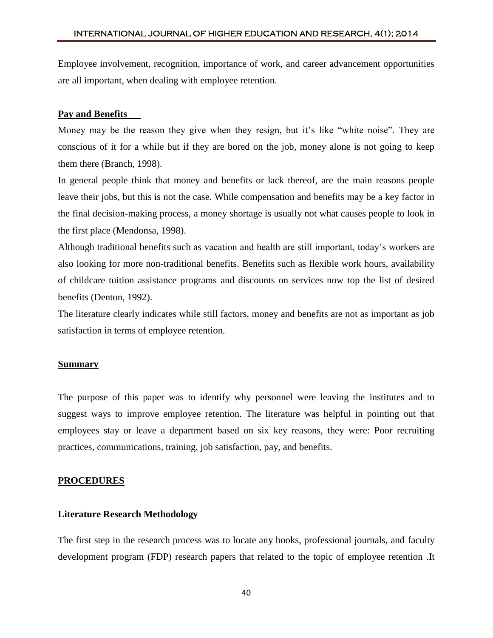Employee involvement, recognition, importance of work, and career advancement opportunities are all important, when dealing with employee retention.

#### **Pay and Benefits**

Money may be the reason they give when they resign, but it's like "white noise". They are conscious of it for a while but if they are bored on the job, money alone is not going to keep them there (Branch, 1998).

In general people think that money and benefits or lack thereof, are the main reasons people leave their jobs, but this is not the case. While compensation and benefits may be a key factor in the final decision-making process, a money shortage is usually not what causes people to look in the first place (Mendonsa, 1998).

Although traditional benefits such as vacation and health are still important, today's workers are also looking for more non-traditional benefits. Benefits such as flexible work hours, availability of childcare tuition assistance programs and discounts on services now top the list of desired benefits (Denton, 1992).

The literature clearly indicates while still factors, money and benefits are not as important as job satisfaction in terms of employee retention.

#### **Summary**

The purpose of this paper was to identify why personnel were leaving the institutes and to suggest ways to improve employee retention. The literature was helpful in pointing out that employees stay or leave a department based on six key reasons, they were: Poor recruiting practices, communications, training, job satisfaction, pay, and benefits.

#### **PROCEDURES**

#### **Literature Research Methodology**

The first step in the research process was to locate any books, professional journals, and faculty development program (FDP) research papers that related to the topic of employee retention .It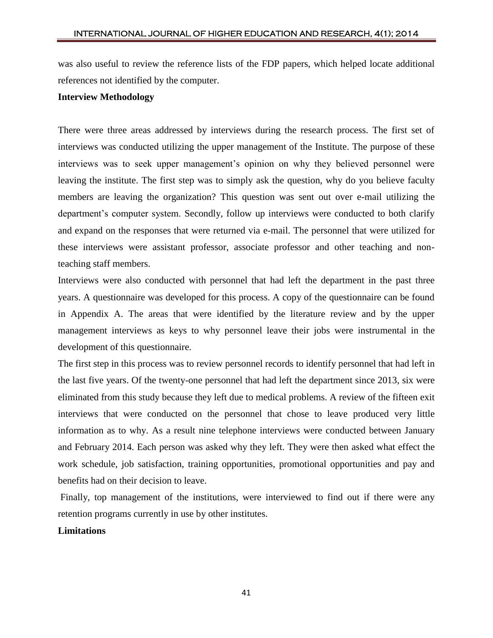was also useful to review the reference lists of the FDP papers, which helped locate additional references not identified by the computer.

## **Interview Methodology**

There were three areas addressed by interviews during the research process. The first set of interviews was conducted utilizing the upper management of the Institute. The purpose of these interviews was to seek upper management's opinion on why they believed personnel were leaving the institute. The first step was to simply ask the question, why do you believe faculty members are leaving the organization? This question was sent out over e-mail utilizing the department's computer system. Secondly, follow up interviews were conducted to both clarify and expand on the responses that were returned via e-mail. The personnel that were utilized for these interviews were assistant professor, associate professor and other teaching and nonteaching staff members.

Interviews were also conducted with personnel that had left the department in the past three years. A questionnaire was developed for this process. A copy of the questionnaire can be found in Appendix A. The areas that were identified by the literature review and by the upper management interviews as keys to why personnel leave their jobs were instrumental in the development of this questionnaire.

The first step in this process was to review personnel records to identify personnel that had left in the last five years. Of the twenty-one personnel that had left the department since 2013, six were eliminated from this study because they left due to medical problems. A review of the fifteen exit interviews that were conducted on the personnel that chose to leave produced very little information as to why. As a result nine telephone interviews were conducted between January and February 2014. Each person was asked why they left. They were then asked what effect the work schedule, job satisfaction, training opportunities, promotional opportunities and pay and benefits had on their decision to leave.

Finally, top management of the institutions, were interviewed to find out if there were any retention programs currently in use by other institutes.

## **Limitations**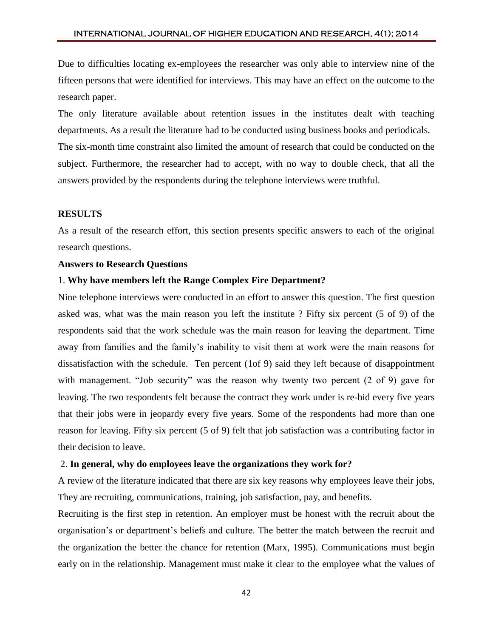Due to difficulties locating ex-employees the researcher was only able to interview nine of the fifteen persons that were identified for interviews. This may have an effect on the outcome to the research paper.

The only literature available about retention issues in the institutes dealt with teaching departments. As a result the literature had to be conducted using business books and periodicals. The six-month time constraint also limited the amount of research that could be conducted on the

subject. Furthermore, the researcher had to accept, with no way to double check, that all the answers provided by the respondents during the telephone interviews were truthful.

#### **RESULTS**

As a result of the research effort, this section presents specific answers to each of the original research questions.

#### **Answers to Research Questions**

#### 1. **Why have members left the Range Complex Fire Department?**

Nine telephone interviews were conducted in an effort to answer this question. The first question asked was, what was the main reason you left the institute ? Fifty six percent (5 of 9) of the respondents said that the work schedule was the main reason for leaving the department. Time away from families and the family's inability to visit them at work were the main reasons for dissatisfaction with the schedule. Ten percent (1of 9) said they left because of disappointment with management. "Job security" was the reason why twenty two percent (2 of 9) gave for leaving. The two respondents felt because the contract they work under is re-bid every five years that their jobs were in jeopardy every five years. Some of the respondents had more than one reason for leaving. Fifty six percent (5 of 9) felt that job satisfaction was a contributing factor in their decision to leave.

#### 2. **In general, why do employees leave the organizations they work for?**

A review of the literature indicated that there are six key reasons why employees leave their jobs, They are recruiting, communications, training, job satisfaction, pay, and benefits.

Recruiting is the first step in retention. An employer must be honest with the recruit about the organisation's or department's beliefs and culture. The better the match between the recruit and the organization the better the chance for retention (Marx, 1995). Communications must begin early on in the relationship. Management must make it clear to the employee what the values of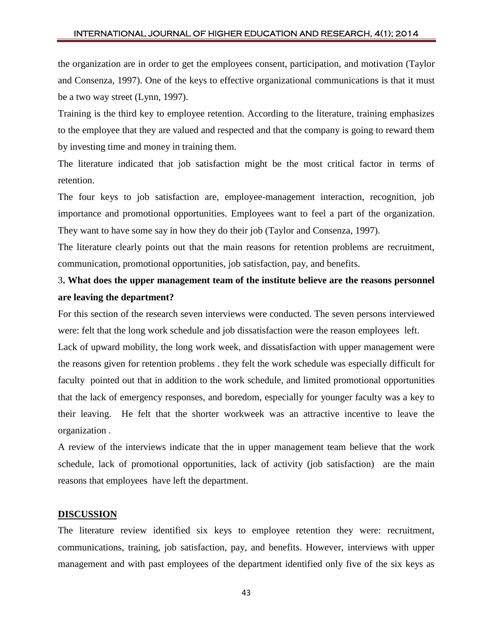the organization are in order to get the employees consent, participation, and motivation (Taylor and Consenza, 1997). One of the keys to effective organizational communications is that it must be a two way street (Lynn, 1997).

Training is the third key to employee retention. According to the literature, training emphasizes to the employee that they are valued and respected and that the company is going to reward them by investing time and money in training them.

The literature indicated that job satisfaction might be the most critical factor in terms of retention.

The four keys to job satisfaction are, employee-management interaction, recognition, job importance and promotional opportunities. Employees want to feel a part of the organization. They want to have some say in how they do their job (Taylor and Consenza, 1997).

The literature clearly points out that the main reasons for retention problems are recruitment, communication, promotional opportunities, job satisfaction, pay, and benefits.

# 3**. What does the upper management team of the institute believe are the reasons personnel are leaving the department?**

For this section of the research seven interviews were conducted. The seven persons interviewed were: felt that the long work schedule and job dissatisfaction were the reason employees left.

Lack of upward mobility, the long work week, and dissatisfaction with upper management were the reasons given for retention problems . they felt the work schedule was especially difficult for faculty pointed out that in addition to the work schedule, and limited promotional opportunities that the lack of emergency responses, and boredom, especially for younger faculty was a key to their leaving. He felt that the shorter workweek was an attractive incentive to leave the organization .

A review of the interviews indicate that the in upper management team believe that the work schedule, lack of promotional opportunities, lack of activity (job satisfaction) are the main reasons that employees have left the department.

## **DISCUSSION**

The literature review identified six keys to employee retention they were: recruitment, communications, training, job satisfaction, pay, and benefits. However, interviews with upper management and with past employees of the department identified only five of the six keys as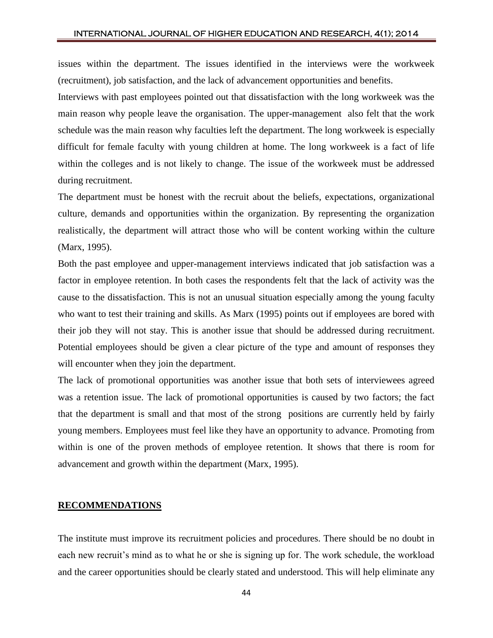issues within the department. The issues identified in the interviews were the workweek (recruitment), job satisfaction, and the lack of advancement opportunities and benefits.

Interviews with past employees pointed out that dissatisfaction with the long workweek was the main reason why people leave the organisation. The upper-management also felt that the work schedule was the main reason why faculties left the department. The long workweek is especially difficult for female faculty with young children at home. The long workweek is a fact of life within the colleges and is not likely to change. The issue of the workweek must be addressed during recruitment.

The department must be honest with the recruit about the beliefs, expectations, organizational culture, demands and opportunities within the organization. By representing the organization realistically, the department will attract those who will be content working within the culture (Marx, 1995).

Both the past employee and upper-management interviews indicated that job satisfaction was a factor in employee retention. In both cases the respondents felt that the lack of activity was the cause to the dissatisfaction. This is not an unusual situation especially among the young faculty who want to test their training and skills. As Marx (1995) points out if employees are bored with their job they will not stay. This is another issue that should be addressed during recruitment. Potential employees should be given a clear picture of the type and amount of responses they will encounter when they join the department.

The lack of promotional opportunities was another issue that both sets of interviewees agreed was a retention issue. The lack of promotional opportunities is caused by two factors; the fact that the department is small and that most of the strong positions are currently held by fairly young members. Employees must feel like they have an opportunity to advance. Promoting from within is one of the proven methods of employee retention. It shows that there is room for advancement and growth within the department (Marx, 1995).

#### **RECOMMENDATIONS**

The institute must improve its recruitment policies and procedures. There should be no doubt in each new recruit's mind as to what he or she is signing up for. The work schedule, the workload and the career opportunities should be clearly stated and understood. This will help eliminate any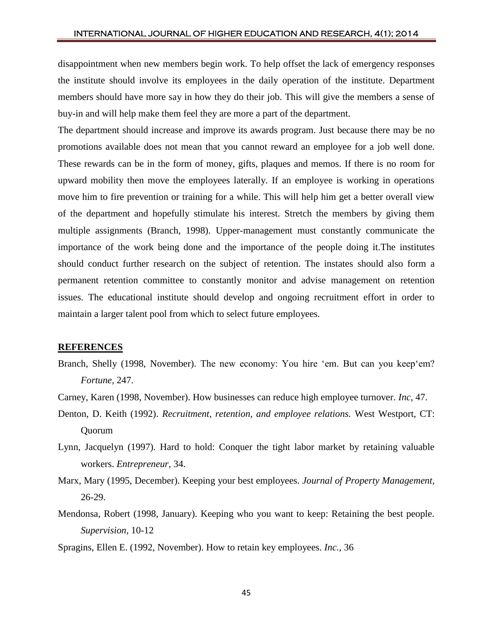disappointment when new members begin work. To help offset the lack of emergency responses the institute should involve its employees in the daily operation of the institute. Department members should have more say in how they do their job. This will give the members a sense of buy-in and will help make them feel they are more a part of the department.

The department should increase and improve its awards program. Just because there may be no promotions available does not mean that you cannot reward an employee for a job well done. These rewards can be in the form of money, gifts, plaques and memos. If there is no room for upward mobility then move the employees laterally. If an employee is working in operations move him to fire prevention or training for a while. This will help him get a better overall view of the department and hopefully stimulate his interest. Stretch the members by giving them multiple assignments (Branch, 1998). Upper-management must constantly communicate the importance of the work being done and the importance of the people doing it.The institutes should conduct further research on the subject of retention. The instates should also form a permanent retention committee to constantly monitor and advise management on retention issues. The educational institute should develop and ongoing recruitment effort in order to maintain a larger talent pool from which to select future employees.

#### **REFERENCES**

- Branch, Shelly (1998, November). The new economy: You hire 'em. But can you keep'em? *Fortune,* 247.
- Carney, Karen (1998, November). How businesses can reduce high employee turnover. *Inc,* 47.
- Denton, D. Keith (1992). *Recruitment, retention, and employee relations.* West Westport, CT: Quorum
- Lynn, Jacquelyn (1997). Hard to hold: Conquer the tight labor market by retaining valuable workers. *Entrepreneur,* 34.
- Marx, Mary (1995, December). Keeping your best employees. *Journal of Property Management,*  26-29.
- Mendonsa, Robert (1998, January). Keeping who you want to keep: Retaining the best people. *Supervision,* 10-12
- Spragins, Ellen E. (1992, November). How to retain key employees. *Inc.,* 36